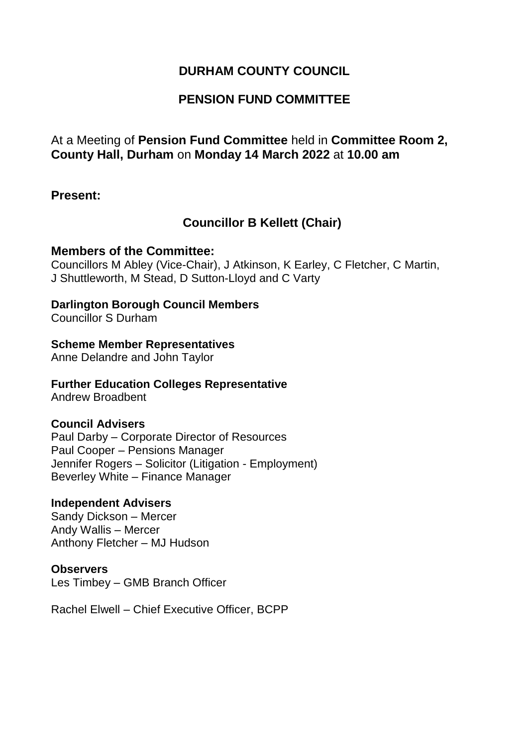## **DURHAM COUNTY COUNCIL**

## **PENSION FUND COMMITTEE**

## At a Meeting of **Pension Fund Committee** held in **Committee Room 2, County Hall, Durham** on **Monday 14 March 2022** at **10.00 am**

### **Present:**

## **Councillor B Kellett (Chair)**

### **Members of the Committee:**

Councillors M Abley (Vice-Chair), J Atkinson, K Earley, C Fletcher, C Martin, J Shuttleworth, M Stead, D Sutton-Lloyd and C Varty

### **Darlington Borough Council Members**

Councillor S Durham

### **Scheme Member Representatives**

Anne Delandre and John Taylor

### **Further Education Colleges Representative**

Andrew Broadbent

### **Council Advisers**

Paul Darby – Corporate Director of Resources Paul Cooper – Pensions Manager Jennifer Rogers – Solicitor (Litigation - Employment) Beverley White – Finance Manager

### **Independent Advisers**

Sandy Dickson – Mercer Andy Wallis – Mercer Anthony Fletcher – MJ Hudson

#### **Observers**

Les Timbey – GMB Branch Officer

Rachel Elwell – Chief Executive Officer, BCPP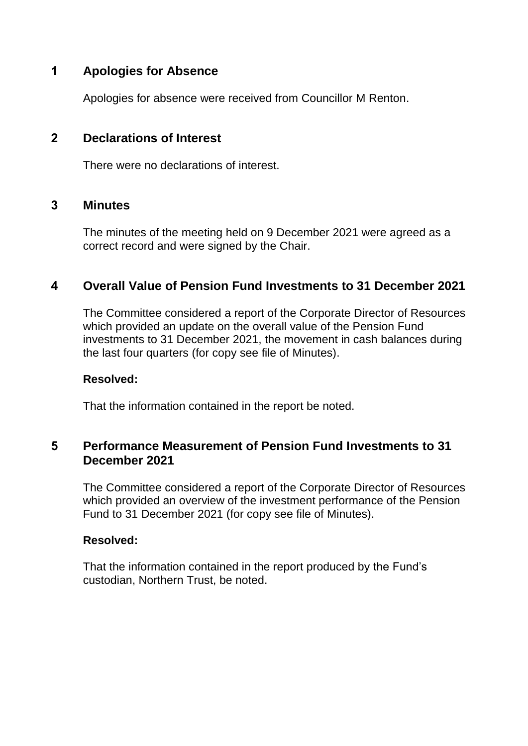# **1 Apologies for Absence**

Apologies for absence were received from Councillor M Renton.

## **2 Declarations of Interest**

There were no declarations of interest.

## **3 Minutes**

The minutes of the meeting held on 9 December 2021 were agreed as a correct record and were signed by the Chair.

## **4 Overall Value of Pension Fund Investments to 31 December 2021**

The Committee considered a report of the Corporate Director of Resources which provided an update on the overall value of the Pension Fund investments to 31 December 2021, the movement in cash balances during the last four quarters (for copy see file of Minutes).

### **Resolved:**

That the information contained in the report be noted.

## **5 Performance Measurement of Pension Fund Investments to 31 December 2021**

The Committee considered a report of the Corporate Director of Resources which provided an overview of the investment performance of the Pension Fund to 31 December 2021 (for copy see file of Minutes).

### **Resolved:**

That the information contained in the report produced by the Fund's custodian, Northern Trust, be noted.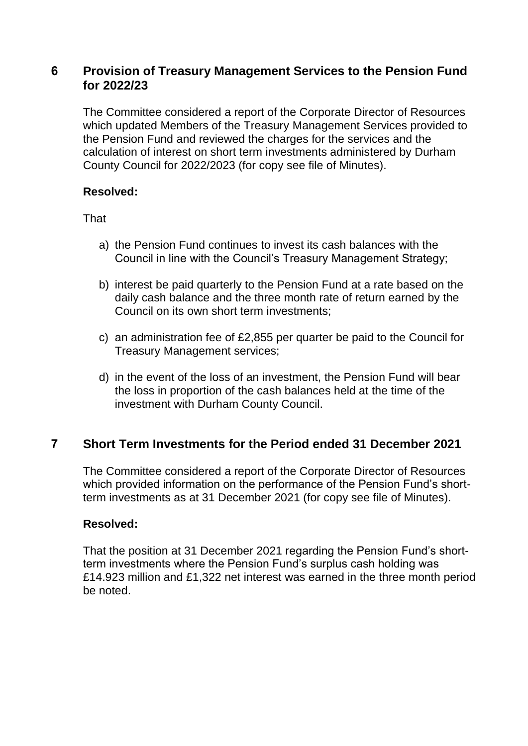## **6 Provision of Treasury Management Services to the Pension Fund for 2022/23**

The Committee considered a report of the Corporate Director of Resources which updated Members of the Treasury Management Services provided to the Pension Fund and reviewed the charges for the services and the calculation of interest on short term investments administered by Durham County Council for 2022/2023 (for copy see file of Minutes).

### **Resolved:**

That

- a) the Pension Fund continues to invest its cash balances with the Council in line with the Council's Treasury Management Strategy;
- b) interest be paid quarterly to the Pension Fund at a rate based on the daily cash balance and the three month rate of return earned by the Council on its own short term investments;
- c) an administration fee of £2,855 per quarter be paid to the Council for Treasury Management services;
- d) in the event of the loss of an investment, the Pension Fund will bear the loss in proportion of the cash balances held at the time of the investment with Durham County Council.

## **7 Short Term Investments for the Period ended 31 December 2021**

The Committee considered a report of the Corporate Director of Resources which provided information on the performance of the Pension Fund's shortterm investments as at 31 December 2021 (for copy see file of Minutes).

## **Resolved:**

That the position at 31 December 2021 regarding the Pension Fund's shortterm investments where the Pension Fund's surplus cash holding was £14.923 million and £1,322 net interest was earned in the three month period be noted.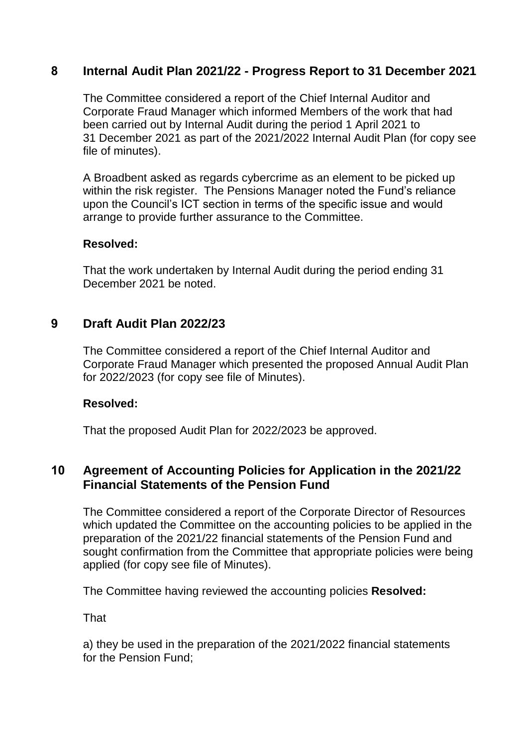## **8 Internal Audit Plan 2021/22 - Progress Report to 31 December 2021**

The Committee considered a report of the Chief Internal Auditor and Corporate Fraud Manager which informed Members of the work that had been carried out by Internal Audit during the period 1 April 2021 to 31 December 2021 as part of the 2021/2022 Internal Audit Plan (for copy see file of minutes).

A Broadbent asked as regards cybercrime as an element to be picked up within the risk register. The Pensions Manager noted the Fund's reliance upon the Council's ICT section in terms of the specific issue and would arrange to provide further assurance to the Committee.

### **Resolved:**

That the work undertaken by Internal Audit during the period ending 31 December 2021 be noted.

## **9 Draft Audit Plan 2022/23**

The Committee considered a report of the Chief Internal Auditor and Corporate Fraud Manager which presented the proposed Annual Audit Plan for 2022/2023 (for copy see file of Minutes).

### **Resolved:**

That the proposed Audit Plan for 2022/2023 be approved.

## **10 Agreement of Accounting Policies for Application in the 2021/22 Financial Statements of the Pension Fund**

The Committee considered a report of the Corporate Director of Resources which updated the Committee on the accounting policies to be applied in the preparation of the 2021/22 financial statements of the Pension Fund and sought confirmation from the Committee that appropriate policies were being applied (for copy see file of Minutes).

The Committee having reviewed the accounting policies **Resolved:**

**That** 

a) they be used in the preparation of the 2021/2022 financial statements for the Pension Fund;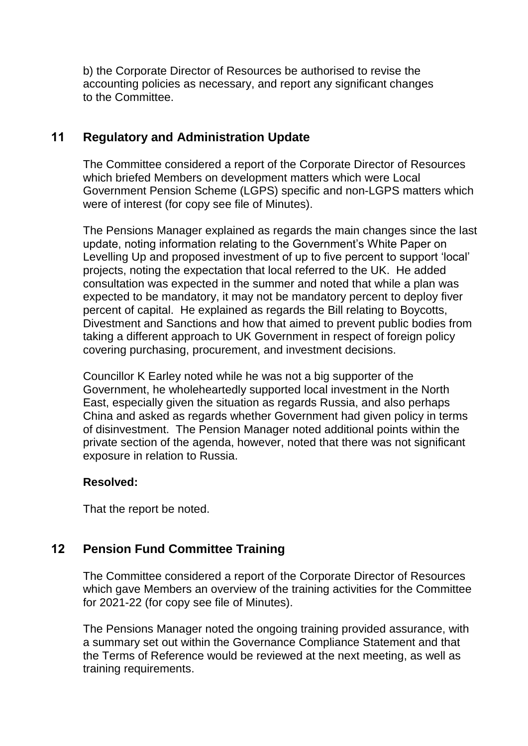b) the Corporate Director of Resources be authorised to revise the accounting policies as necessary, and report any significant changes to the Committee.

# **11 Regulatory and Administration Update**

The Committee considered a report of the Corporate Director of Resources which briefed Members on development matters which were Local Government Pension Scheme (LGPS) specific and non-LGPS matters which were of interest (for copy see file of Minutes).

The Pensions Manager explained as regards the main changes since the last update, noting information relating to the Government's White Paper on Levelling Up and proposed investment of up to five percent to support 'local' projects, noting the expectation that local referred to the UK. He added consultation was expected in the summer and noted that while a plan was expected to be mandatory, it may not be mandatory percent to deploy fiver percent of capital. He explained as regards the Bill relating to Boycotts, Divestment and Sanctions and how that aimed to prevent public bodies from taking a different approach to UK Government in respect of foreign policy covering purchasing, procurement, and investment decisions.

Councillor K Earley noted while he was not a big supporter of the Government, he wholeheartedly supported local investment in the North East, especially given the situation as regards Russia, and also perhaps China and asked as regards whether Government had given policy in terms of disinvestment. The Pension Manager noted additional points within the private section of the agenda, however, noted that there was not significant exposure in relation to Russia.

## **Resolved:**

That the report be noted.

# **12 Pension Fund Committee Training**

The Committee considered a report of the Corporate Director of Resources which gave Members an overview of the training activities for the Committee for 2021-22 (for copy see file of Minutes).

The Pensions Manager noted the ongoing training provided assurance, with a summary set out within the Governance Compliance Statement and that the Terms of Reference would be reviewed at the next meeting, as well as training requirements.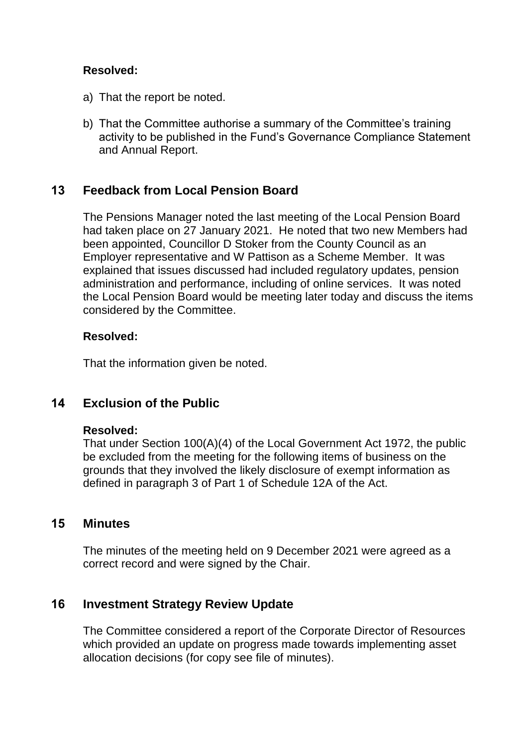## **Resolved:**

- a) That the report be noted.
- b) That the Committee authorise a summary of the Committee's training activity to be published in the Fund's Governance Compliance Statement and Annual Report.

## **13 Feedback from Local Pension Board**

The Pensions Manager noted the last meeting of the Local Pension Board had taken place on 27 January 2021. He noted that two new Members had been appointed, Councillor D Stoker from the County Council as an Employer representative and W Pattison as a Scheme Member. It was explained that issues discussed had included regulatory updates, pension administration and performance, including of online services. It was noted the Local Pension Board would be meeting later today and discuss the items considered by the Committee.

### **Resolved:**

That the information given be noted.

## **14 Exclusion of the Public**

### **Resolved:**

That under Section 100(A)(4) of the Local Government Act 1972, the public be excluded from the meeting for the following items of business on the grounds that they involved the likely disclosure of exempt information as defined in paragraph 3 of Part 1 of Schedule 12A of the Act.

## **15 Minutes**

The minutes of the meeting held on 9 December 2021 were agreed as a correct record and were signed by the Chair.

## **16 Investment Strategy Review Update**

The Committee considered a report of the Corporate Director of Resources which provided an update on progress made towards implementing asset allocation decisions (for copy see file of minutes).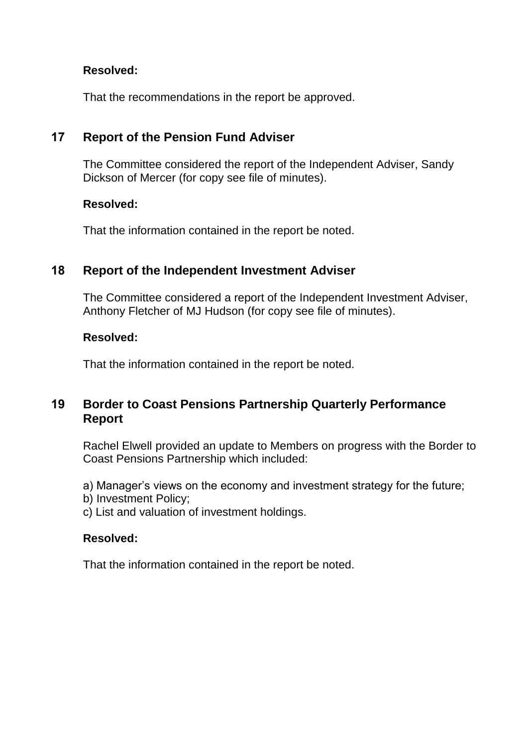## **Resolved:**

That the recommendations in the report be approved.

# **17 Report of the Pension Fund Adviser**

The Committee considered the report of the Independent Adviser, Sandy Dickson of Mercer (for copy see file of minutes).

### **Resolved:**

That the information contained in the report be noted.

## **18 Report of the Independent Investment Adviser**

The Committee considered a report of the Independent Investment Adviser, Anthony Fletcher of MJ Hudson (for copy see file of minutes).

## **Resolved:**

That the information contained in the report be noted.

# **19 Border to Coast Pensions Partnership Quarterly Performance Report**

Rachel Elwell provided an update to Members on progress with the Border to Coast Pensions Partnership which included:

a) Manager's views on the economy and investment strategy for the future;

- b) Investment Policy;
- c) List and valuation of investment holdings.

## **Resolved:**

That the information contained in the report be noted.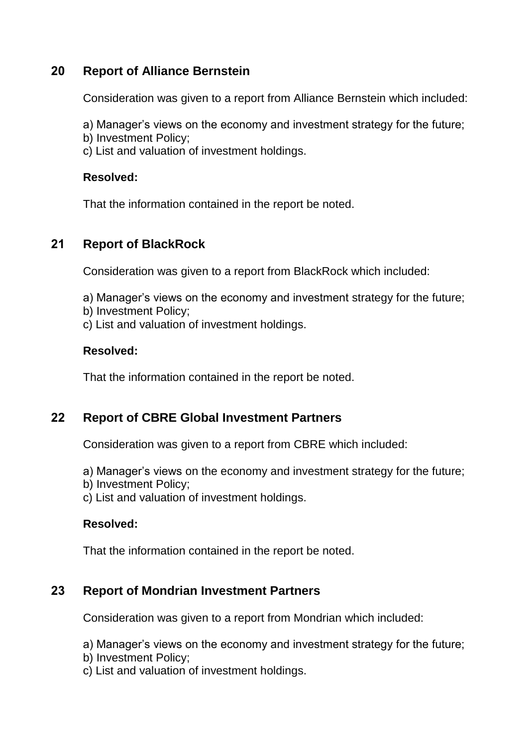## **20 Report of Alliance Bernstein**

Consideration was given to a report from Alliance Bernstein which included:

- a) Manager's views on the economy and investment strategy for the future;
- b) Investment Policy;
- c) List and valuation of investment holdings.

### **Resolved:**

That the information contained in the report be noted.

## **21 Report of BlackRock**

Consideration was given to a report from BlackRock which included:

- a) Manager's views on the economy and investment strategy for the future;
- b) Investment Policy;
- c) List and valuation of investment holdings.

## **Resolved:**

That the information contained in the report be noted.

## **22 Report of CBRE Global Investment Partners**

Consideration was given to a report from CBRE which included:

- a) Manager's views on the economy and investment strategy for the future;
- b) Investment Policy;
- c) List and valuation of investment holdings.

## **Resolved:**

That the information contained in the report be noted.

## **23 Report of Mondrian Investment Partners**

Consideration was given to a report from Mondrian which included:

a) Manager's views on the economy and investment strategy for the future;

- b) Investment Policy;
- c) List and valuation of investment holdings.